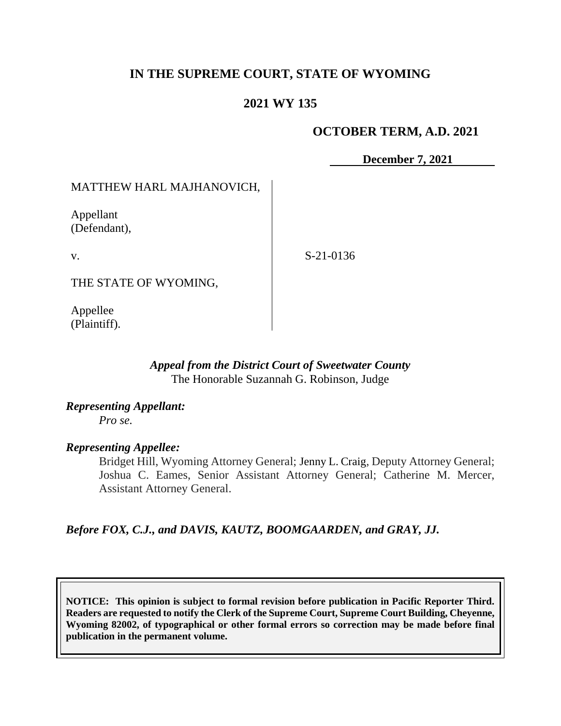# **IN THE SUPREME COURT, STATE OF WYOMING**

# **2021 WY 135**

## **OCTOBER TERM, A.D. 2021**

**December 7, 2021**

## MATTHEW HARL MAJHANOVICH,

Appellant (Defendant),

v.

S-21-0136

THE STATE OF WYOMING,

Appellee (Plaintiff).

### *Appeal from the District Court of Sweetwater County* The Honorable Suzannah G. Robinson, Judge

*Representing Appellant: Pro se.*

#### *Representing Appellee:*

Bridget Hill, Wyoming Attorney General; Jenny L. Craig, Deputy Attorney General; Joshua C. Eames, Senior Assistant Attorney General; Catherine M. Mercer, Assistant Attorney General.

*Before FOX, C.J., and DAVIS, KAUTZ, BOOMGAARDEN, and GRAY, JJ.*

**NOTICE: This opinion is subject to formal revision before publication in Pacific Reporter Third. Readers are requested to notify the Clerk of the Supreme Court, Supreme Court Building, Cheyenne, Wyoming 82002, of typographical or other formal errors so correction may be made before final publication in the permanent volume.**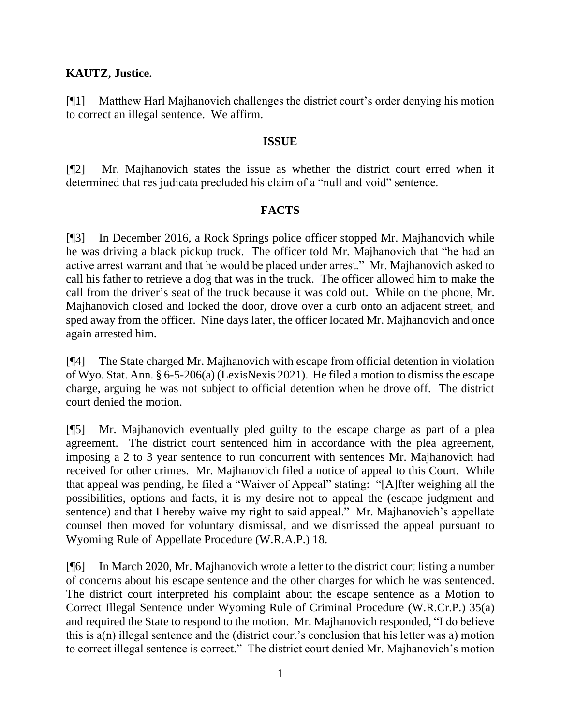## **KAUTZ, Justice.**

[¶1] Matthew Harl Majhanovich challenges the district court's order denying his motion to correct an illegal sentence. We affirm.

#### **ISSUE**

[¶2] Mr. Majhanovich states the issue as whether the district court erred when it determined that res judicata precluded his claim of a "null and void" sentence.

### **FACTS**

[¶3] In December 2016, a Rock Springs police officer stopped Mr. Majhanovich while he was driving a black pickup truck. The officer told Mr. Majhanovich that "he had an active arrest warrant and that he would be placed under arrest." Mr. Majhanovich asked to call his father to retrieve a dog that was in the truck. The officer allowed him to make the call from the driver's seat of the truck because it was cold out. While on the phone, Mr. Majhanovich closed and locked the door, drove over a curb onto an adjacent street, and sped away from the officer. Nine days later, the officer located Mr. Majhanovich and once again arrested him.

[¶4] The State charged Mr. Majhanovich with escape from official detention in violation of Wyo. Stat. Ann. § 6-5-206(a) (LexisNexis 2021). He filed a motion to dismiss the escape charge, arguing he was not subject to official detention when he drove off. The district court denied the motion.

[¶5] Mr. Majhanovich eventually pled guilty to the escape charge as part of a plea agreement. The district court sentenced him in accordance with the plea agreement, imposing a 2 to 3 year sentence to run concurrent with sentences Mr. Majhanovich had received for other crimes. Mr. Majhanovich filed a notice of appeal to this Court. While that appeal was pending, he filed a "Waiver of Appeal" stating: "[A]fter weighing all the possibilities, options and facts, it is my desire not to appeal the (escape judgment and sentence) and that I hereby waive my right to said appeal." Mr. Majhanovich's appellate counsel then moved for voluntary dismissal, and we dismissed the appeal pursuant to Wyoming Rule of Appellate Procedure (W.R.A.P.) 18.

[¶6] In March 2020, Mr. Majhanovich wrote a letter to the district court listing a number of concerns about his escape sentence and the other charges for which he was sentenced. The district court interpreted his complaint about the escape sentence as a Motion to Correct Illegal Sentence under Wyoming Rule of Criminal Procedure (W.R.Cr.P.) 35(a) and required the State to respond to the motion. Mr. Majhanovich responded, "I do believe this is a(n) illegal sentence and the (district court's conclusion that his letter was a) motion to correct illegal sentence is correct." The district court denied Mr. Majhanovich's motion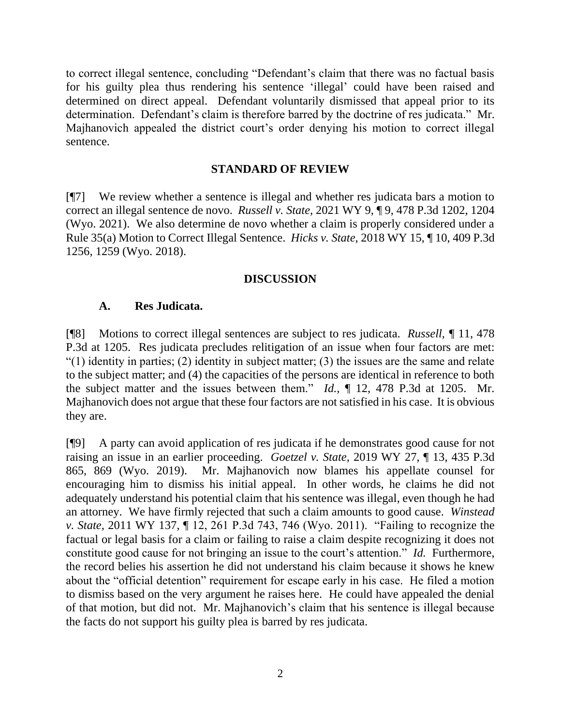to correct illegal sentence, concluding "Defendant's claim that there was no factual basis for his guilty plea thus rendering his sentence 'illegal' could have been raised and determined on direct appeal. Defendant voluntarily dismissed that appeal prior to its determination. Defendant's claim is therefore barred by the doctrine of res judicata." Mr. Majhanovich appealed the district court's order denying his motion to correct illegal sentence.

#### **STANDARD OF REVIEW**

[¶7] We review whether a sentence is illegal and whether res judicata bars a motion to correct an illegal sentence de novo. *Russell v. State,* 2021 WY 9, ¶ 9, 478 P.3d 1202, 1204 (Wyo. 2021). We also determine de novo whether a claim is properly considered under a Rule 35(a) Motion to Correct Illegal Sentence. *Hicks v. State,* 2018 WY 15, ¶ 10, 409 P.3d 1256, 1259 (Wyo. 2018).

#### **DISCUSSION**

#### **A. Res Judicata.**

[¶8] Motions to correct illegal sentences are subject to res judicata. *Russell, ¶* 11, 478 P.3d at 1205. Res judicata precludes relitigation of an issue when four factors are met: "(1) identity in parties; (2) identity in subject matter; (3) the issues are the same and relate to the subject matter; and (4) the capacities of the persons are identical in reference to both the subject matter and the issues between them." *Id.,* ¶ 12, 478 P.3d at 1205. Mr. Majhanovich does not argue that these four factors are not satisfied in his case. It is obvious they are.

[¶9] A party can avoid application of res judicata if he demonstrates good cause for not raising an issue in an earlier proceeding. *Goetzel v. State,* 2019 WY 27, ¶ 13, 435 P.3d 865, 869 (Wyo. 2019). Mr. Majhanovich now blames his appellate counsel for encouraging him to dismiss his initial appeal. In other words, he claims he did not adequately understand his potential claim that his sentence was illegal, even though he had an attorney. We have firmly rejected that such a claim amounts to good cause. *Winstead v. State,* 2011 WY 137, ¶ 12, 261 P.3d 743, 746 (Wyo. 2011). "Failing to recognize the factual or legal basis for a claim or failing to raise a claim despite recognizing it does not constitute good cause for not bringing an issue to the court's attention." *Id.* Furthermore, the record belies his assertion he did not understand his claim because it shows he knew about the "official detention" requirement for escape early in his case. He filed a motion to dismiss based on the very argument he raises here. He could have appealed the denial of that motion, but did not. Mr. Majhanovich's claim that his sentence is illegal because the facts do not support his guilty plea is barred by res judicata.